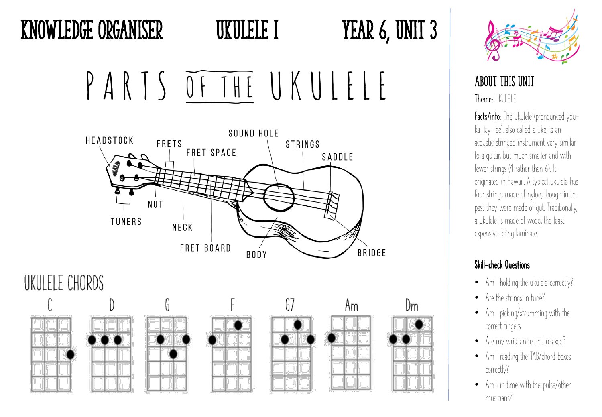PARTS OF THE UKULELE



## About this Unit Theme: UKULFLF

Facts/info: The ukulele (pronounced youka-lay-lee), also called a uke, is an acoustic stringed instrument very similar to a guitar, but much smaller and with fewer strings (4 rather than 6). It originated in Hawaii. A typical ukulele has four strings made of nylon, though in the past they were made of gut. Traditionally, a ukulele is made of wood, the least expensive being laminate.

## Skill-check Questions

- Am I holding the ukulele correctly?
- Are the strings in tune?
- Am I picking/strumming with the correct fingers
- Are my wrists nice and relaxed?
- Am I reading the TAB/chord boxes correctly?
- Am I in time with the pulse/other musicians?